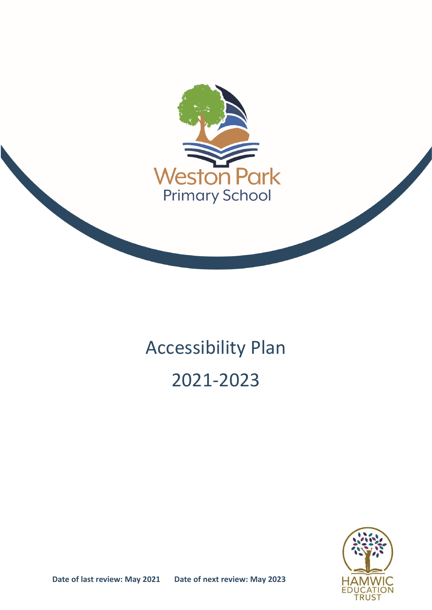

# Accessibility Plan 2021-2023



**Date of last review: May 2021 Date of next review: May 2023**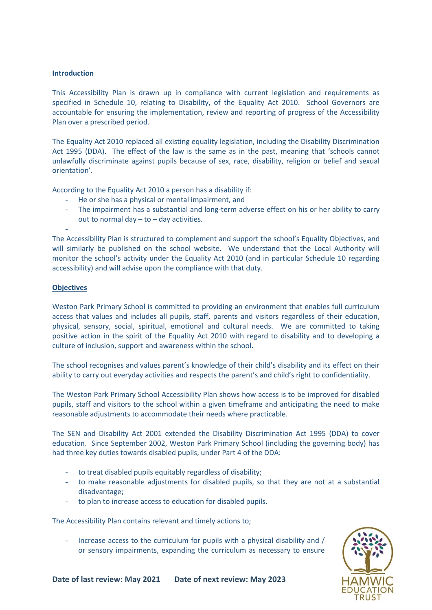#### **Introduction**

This Accessibility Plan is drawn up in compliance with current legislation and requirements as specified in Schedule 10, relating to Disability, of the Equality Act 2010. School Governors are accountable for ensuring the implementation, review and reporting of progress of the Accessibility Plan over a prescribed period.

The Equality Act 2010 replaced all existing equality legislation, including the Disability Discrimination Act 1995 (DDA). The effect of the law is the same as in the past, meaning that 'schools cannot unlawfully discriminate against pupils because of sex, race, disability, religion or belief and sexual orientation'.

According to the Equality Act 2010 a person has a disability if:

- He or she has a physical or mental impairment, and
- The impairment has a substantial and long-term adverse effect on his or her ability to carry out to normal day – to – day activities.

The Accessibility Plan is structured to complement and support the school's Equality Objectives, and will similarly be published on the school website. We understand that the Local Authority will monitor the school's activity under the Equality Act 2010 (and in particular Schedule 10 regarding accessibility) and will advise upon the compliance with that duty.

#### **Objectives**

-

Weston Park Primary School is committed to providing an environment that enables full curriculum access that values and includes all pupils, staff, parents and visitors regardless of their education, physical, sensory, social, spiritual, emotional and cultural needs. We are committed to taking positive action in the spirit of the Equality Act 2010 with regard to disability and to developing a culture of inclusion, support and awareness within the school.

The school recognises and values parent's knowledge of their child's disability and its effect on their ability to carry out everyday activities and respects the parent's and child's right to confidentiality.

The Weston Park Primary School Accessibility Plan shows how access is to be improved for disabled pupils, staff and visitors to the school within a given timeframe and anticipating the need to make reasonable adjustments to accommodate their needs where practicable.

The SEN and Disability Act 2001 extended the Disability Discrimination Act 1995 (DDA) to cover education. Since September 2002, Weston Park Primary School (including the governing body) has had three key duties towards disabled pupils, under Part 4 of the DDA:

- to treat disabled pupils equitably regardless of disability;
- to make reasonable adjustments for disabled pupils, so that they are not at a substantial disadvantage;
- to plan to increase access to education for disabled pupils.

The Accessibility Plan contains relevant and timely actions to;

- Increase access to the curriculum for pupils with a physical disability and / or sensory impairments, expanding the curriculum as necessary to ensure

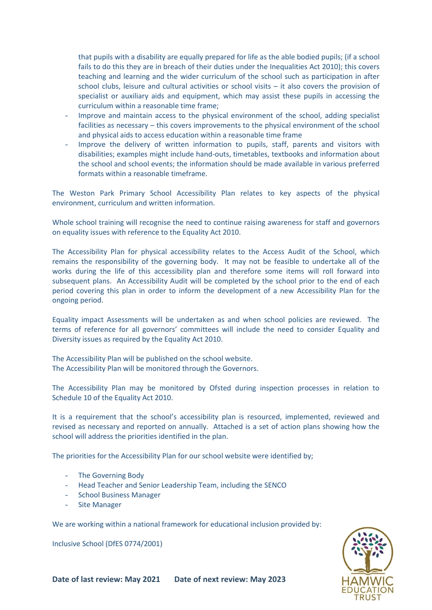that pupils with a disability are equally prepared for life as the able bodied pupils; (if a school fails to do this they are in breach of their duties under the Inequalities Act 2010); this covers teaching and learning and the wider curriculum of the school such as participation in after school clubs, leisure and cultural activities or school visits – it also covers the provision of specialist or auxiliary aids and equipment, which may assist these pupils in accessing the curriculum within a reasonable time frame;

- Improve and maintain access to the physical environment of the school, adding specialist facilities as necessary – this covers improvements to the physical environment of the school and physical aids to access education within a reasonable time frame
- Improve the delivery of written information to pupils, staff, parents and visitors with disabilities; examples might include hand-outs, timetables, textbooks and information about the school and school events; the information should be made available in various preferred formats within a reasonable timeframe.

The Weston Park Primary School Accessibility Plan relates to key aspects of the physical environment, curriculum and written information.

Whole school training will recognise the need to continue raising awareness for staff and governors on equality issues with reference to the Equality Act 2010.

The Accessibility Plan for physical accessibility relates to the Access Audit of the School, which remains the responsibility of the governing body. It may not be feasible to undertake all of the works during the life of this accessibility plan and therefore some items will roll forward into subsequent plans. An Accessibility Audit will be completed by the school prior to the end of each period covering this plan in order to inform the development of a new Accessibility Plan for the ongoing period.

Equality impact Assessments will be undertaken as and when school policies are reviewed. The terms of reference for all governors' committees will include the need to consider Equality and Diversity issues as required by the Equality Act 2010.

The Accessibility Plan will be published on the school website. The Accessibility Plan will be monitored through the Governors.

The Accessibility Plan may be monitored by Ofsted during inspection processes in relation to Schedule 10 of the Equality Act 2010.

It is a requirement that the school's accessibility plan is resourced, implemented, reviewed and revised as necessary and reported on annually. Attached is a set of action plans showing how the school will address the priorities identified in the plan.

The priorities for the Accessibility Plan for our school website were identified by;

- The Governing Body
- Head Teacher and Senior Leadership Team, including the SENCO
- School Business Manager
- Site Manager

We are working within a national framework for educational inclusion provided by:

Inclusive School (DfES 0774/2001)

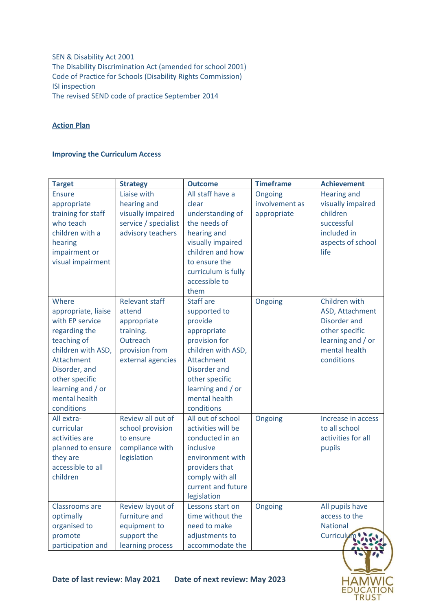SEN & Disability Act 2001 The Disability Discrimination Act (amended for school 2001) Code of Practice for Schools (Disability Rights Commission) ISI inspection The revised SEND code of practice September 2014

## **Action Plan**

### **Improving the Curriculum Access**

| <b>Target</b>                                                                                                                                                                                              | <b>Strategy</b>                                                                                                | <b>Outcome</b>                                                                                                                                                                                               | <b>Timeframe</b>                         | <b>Achievement</b>                                                                                                     |
|------------------------------------------------------------------------------------------------------------------------------------------------------------------------------------------------------------|----------------------------------------------------------------------------------------------------------------|--------------------------------------------------------------------------------------------------------------------------------------------------------------------------------------------------------------|------------------------------------------|------------------------------------------------------------------------------------------------------------------------|
| <b>Ensure</b><br>appropriate<br>training for staff<br>who teach<br>children with a<br>hearing<br>impairment or<br>visual impairment                                                                        | Liaise with<br>hearing and<br>visually impaired<br>service / specialist<br>advisory teachers                   | All staff have a<br>clear<br>understanding of<br>the needs of<br>hearing and<br>visually impaired<br>children and how<br>to ensure the<br>curriculum is fully<br>accessible to<br>them                       | Ongoing<br>involvement as<br>appropriate | <b>Hearing and</b><br>visually impaired<br>children<br>successful<br>included in<br>aspects of school<br>life          |
| Where<br>appropriate, liaise<br>with EP service<br>regarding the<br>teaching of<br>children with ASD,<br>Attachment<br>Disorder, and<br>other specific<br>learning and / or<br>mental health<br>conditions | <b>Relevant staff</b><br>attend<br>appropriate<br>training.<br>Outreach<br>provision from<br>external agencies | <b>Staff are</b><br>supported to<br>provide<br>appropriate<br>provision for<br>children with ASD,<br>Attachment<br><b>Disorder and</b><br>other specific<br>learning and / or<br>mental health<br>conditions | Ongoing                                  | Children with<br>ASD, Attachment<br>Disorder and<br>other specific<br>learning and / or<br>mental health<br>conditions |
| All extra-<br>curricular<br>activities are<br>planned to ensure<br>they are<br>accessible to all<br>children                                                                                               | Review all out of<br>school provision<br>to ensure<br>compliance with<br>legislation                           | All out of school<br>activities will be<br>conducted in an<br>inclusive<br>environment with<br>providers that<br>comply with all<br>current and future<br>legislation                                        | Ongoing                                  | Increase in access<br>to all school<br>activities for all<br>pupils                                                    |
| Classrooms are<br>optimally<br>organised to<br>promote<br>participation and                                                                                                                                | Review layout of<br>furniture and<br>equipment to<br>support the<br>learning process                           | Lessons start on<br>time without the<br>need to make<br>adjustments to<br>accommodate the                                                                                                                    | Ongoing                                  | All pupils have<br>access to the<br><b>National</b><br>Curriculu                                                       |

HAMWIC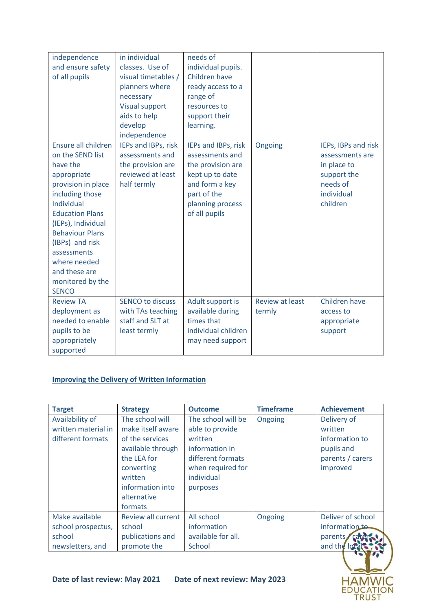| independence<br>and ensure safety<br>of all pupils                                                                                                                                                                                                                                                         | in individual<br>classes. Use of<br>visual timetables /<br>planners where<br>necessary<br><b>Visual support</b><br>aids to help<br>develop<br>independence | needs of<br>individual pupils.<br>Children have<br>ready access to a<br>range of<br>resources to<br>support their<br>learning.                       |                                  |                                                                                                            |
|------------------------------------------------------------------------------------------------------------------------------------------------------------------------------------------------------------------------------------------------------------------------------------------------------------|------------------------------------------------------------------------------------------------------------------------------------------------------------|------------------------------------------------------------------------------------------------------------------------------------------------------|----------------------------------|------------------------------------------------------------------------------------------------------------|
| Ensure all children<br>on the SEND list<br>have the<br>appropriate<br>provision in place<br>including those<br>Individual<br><b>Education Plans</b><br>(IEPs), Individual<br><b>Behaviour Plans</b><br>(IBPs) and risk<br>assessments<br>where needed<br>and these are<br>monitored by the<br><b>SENCO</b> | IEPs and IBPs, risk<br>assessments and<br>the provision are<br>reviewed at least<br>half termly                                                            | IEPs and IBPs, risk<br>assessments and<br>the provision are<br>kept up to date<br>and form a key<br>part of the<br>planning process<br>of all pupils | Ongoing                          | IEPs, IBPs and risk<br>assessments are<br>in place to<br>support the<br>needs of<br>individual<br>children |
| <b>Review TA</b><br>deployment as<br>needed to enable<br>pupils to be<br>appropriately<br>supported                                                                                                                                                                                                        | <b>SENCO to discuss</b><br>with TAs teaching<br>staff and SLT at<br>least termly                                                                           | Adult support is<br>available during<br>times that<br>individual children<br>may need support                                                        | <b>Review at least</b><br>termly | Children have<br>access to<br>appropriate<br>support                                                       |

## **Improving the Delivery of Written Information**

| <b>Target</b>       | <b>Strategy</b>                                                                                         | <b>Outcome</b>                                                                     | <b>Timeframe</b> | <b>Achievement</b>                         |
|---------------------|---------------------------------------------------------------------------------------------------------|------------------------------------------------------------------------------------|------------------|--------------------------------------------|
| Availability of     | The school will                                                                                         | The school will be                                                                 | Ongoing          | Delivery of                                |
| written material in | make itself aware                                                                                       | able to provide                                                                    |                  | written                                    |
| different formats   | of the services                                                                                         | written                                                                            |                  | information to                             |
|                     | available through<br>the LEA for<br>converting<br>written<br>information into<br>alternative<br>formats | information in<br>different formats<br>when required for<br>individual<br>purposes |                  | pupils and<br>parents / carers<br>improved |
| Make available      | <b>Review all current</b>                                                                               | All school                                                                         | Ongoing          | Deliver of school                          |
| school prospectus,  | school                                                                                                  | information                                                                        |                  | information to-                            |
| school              | publications and                                                                                        | available for all.                                                                 |                  | parents                                    |
| newsletters, and    | promote the                                                                                             | School                                                                             |                  | and the lot                                |
|                     |                                                                                                         |                                                                                    |                  |                                            |

HAMWIC<br>EDUCATION<br>TRUST